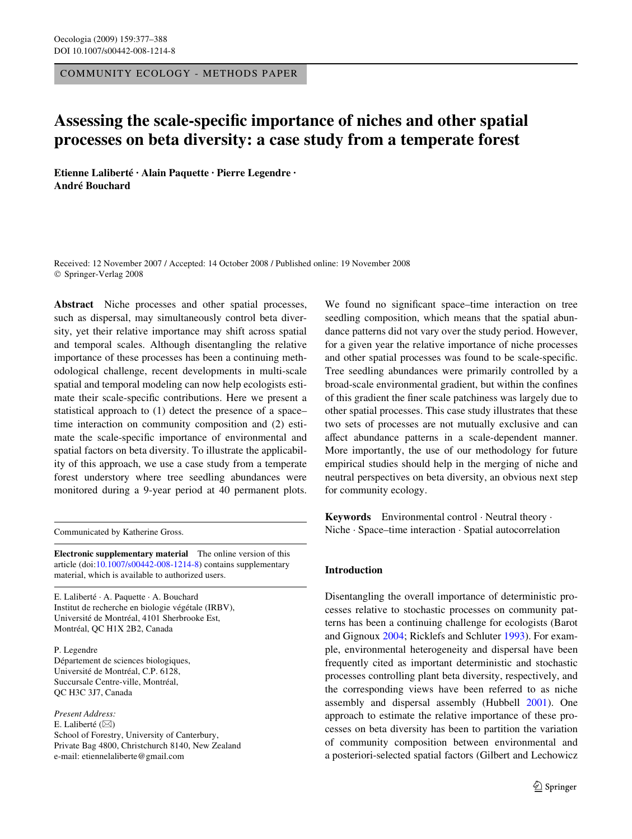COMMUNITY ECOLOGY - METHODS PAPER

# Assessing the scale-specific importance of niches and other spatial **processes on beta diversity: a case study from a temperate forest**

**Etienne Laliberté · Alain Paquette · Pierre Legendre · André Bouchard** 

Received: 12 November 2007 / Accepted: 14 October 2008 / Published online: 19 November 2008 © Springer-Verlag 2008

**Abstract** Niche processes and other spatial processes, such as dispersal, may simultaneously control beta diversity, yet their relative importance may shift across spatial and temporal scales. Although disentangling the relative importance of these processes has been a continuing methodological challenge, recent developments in multi-scale spatial and temporal modeling can now help ecologists estimate their scale-specific contributions. Here we present a statistical approach to (1) detect the presence of a space– time interaction on community composition and (2) estimate the scale-specific importance of environmental and spatial factors on beta diversity. To illustrate the applicability of this approach, we use a case study from a temperate forest understory where tree seedling abundances were monitored during a 9-year period at 40 permanent plots.

Communicated by Katherine Gross.

**Electronic supplementary material** The online version of this article (doi[:10.1007/s00442-008-1214-8](http://dx.doi.org/10.1007/s00442-008-1214-8)) contains supplementary material, which is available to authorized users.

E. Laliberté · A. Paquette · A. Bouchard Institut de recherche en biologie végétale (IRBV), Université de Montréal, 4101 Sherbrooke Est, Montréal, QC H1X 2B2, Canada

P. Legendre Département de sciences biologiques, Université de Montréal, C.P. 6128, Succursale Centre-ville, Montréal, QC H3C 3J7, Canada

*Present Address:* E. Laliberté ( $\boxtimes$ ) School of Forestry, University of Canterbury, Private Bag 4800, Christchurch 8140, New Zealand e-mail: etiennelaliberte@gmail.com

We found no significant space–time interaction on tree seedling composition, which means that the spatial abundance patterns did not vary over the study period. However, for a given year the relative importance of niche processes and other spatial processes was found to be scale-specific. Tree seedling abundances were primarily controlled by a broad-scale environmental gradient, but within the confines of this gradient the finer scale patchiness was largely due to other spatial processes. This case study illustrates that these two sets of processes are not mutually exclusive and can affect abundance patterns in a scale-dependent manner. More importantly, the use of our methodology for future empirical studies should help in the merging of niche and neutral perspectives on beta diversity, an obvious next step for community ecology.

**Keywords** Environmental control · Neutral theory · Niche · Space–time interaction · Spatial autocorrelation

# **Introduction**

Disentangling the overall importance of deterministic processes relative to stochastic processes on community patterns has been a continuing challenge for ecologists (Barot and Gignoux [2004;](#page-10-0) Ricklefs and Schluter [1993\)](#page-11-0). For example, environmental heterogeneity and dispersal have been frequently cited as important deterministic and stochastic processes controlling plant beta diversity, respectively, and the corresponding views have been referred to as niche assembly and dispersal assembly (Hubbell [2001\)](#page-11-1). One approach to estimate the relative importance of these processes on beta diversity has been to partition the variation of community composition between environmental and a posteriori-selected spatial factors (Gilbert and Lechowicz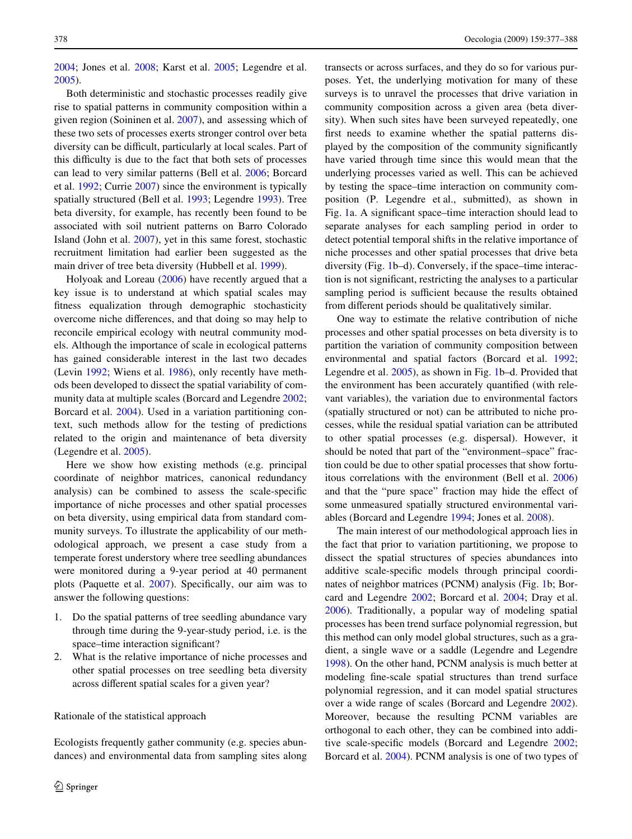[2004](#page-10-1); Jones et al. [2008;](#page-11-2) Karst et al. [2005;](#page-11-3) Legendre et al. [2005](#page-11-4)).

Both deterministic and stochastic processes readily give rise to spatial patterns in community composition within a given region (Soininen et al. [2007\)](#page-11-5), and assessing which of these two sets of processes exerts stronger control over beta diversity can be difficult, particularly at local scales. Part of this difficulty is due to the fact that both sets of processes can lead to very similar patterns (Bell et al. [2006](#page-10-2); Borcard et al. [1992](#page-10-3); Currie [2007](#page-10-4)) since the environment is typically spatially structured (Bell et al. [1993;](#page-10-5) Legendre [1993](#page-11-6)). Tree beta diversity, for example, has recently been found to be associated with soil nutrient patterns on Barro Colorado Island (John et al. [2007\)](#page-11-7), yet in this same forest, stochastic recruitment limitation had earlier been suggested as the main driver of tree beta diversity (Hubbell et al. [1999\)](#page-11-8).

Holyoak and Loreau [\(2006](#page-11-9)) have recently argued that a key issue is to understand at which spatial scales may fitness equalization through demographic stochasticity overcome niche differences, and that doing so may help to reconcile empirical ecology with neutral community models. Although the importance of scale in ecological patterns has gained considerable interest in the last two decades (Levin [1992;](#page-11-10) Wiens et al. [1986](#page-11-11)), only recently have methods been developed to dissect the spatial variability of community data at multiple scales (Borcard and Legendre [2002](#page-10-6); Borcard et al. [2004\)](#page-10-7). Used in a variation partitioning context, such methods allow for the testing of predictions related to the origin and maintenance of beta diversity (Legendre et al. [2005\)](#page-11-4).

Here we show how existing methods (e.g. principal coordinate of neighbor matrices, canonical redundancy analysis) can be combined to assess the scale-specific importance of niche processes and other spatial processes on beta diversity, using empirical data from standard community surveys. To illustrate the applicability of our methodological approach, we present a case study from a temperate forest understory where tree seedling abundances were monitored during a 9-year period at 40 permanent plots (Paquette et al. [2007\)](#page-11-12). Specifically, our aim was to answer the following questions:

- 1. Do the spatial patterns of tree seedling abundance vary through time during the 9-year-study period, i.e. is the space–time interaction significant?
- 2. What is the relative importance of niche processes and other spatial processes on tree seedling beta diversity across different spatial scales for a given year?

# <span id="page-1-0"></span>Rationale of the statistical approach

Ecologists frequently gather community (e.g. species abundances) and environmental data from sampling sites along transects or across surfaces, and they do so for various purposes. Yet, the underlying motivation for many of these surveys is to unravel the processes that drive variation in community composition across a given area (beta diversity). When such sites have been surveyed repeatedly, one first needs to examine whether the spatial patterns displayed by the composition of the community significantly have varied through time since this would mean that the underlying processes varied as well. This can be achieved by testing the space–time interaction on community composition (P. Legendre et al., submitted), as shown in Fig. [1a](#page-2-0). A significant space–time interaction should lead to separate analyses for each sampling period in order to detect potential temporal shifts in the relative importance of niche processes and other spatial processes that drive beta diversity (Fig. [1](#page-2-0)b–d). Conversely, if the space–time interaction is not significant, restricting the analyses to a particular sampling period is sufficient because the results obtained from different periods should be qualitatively similar.

One way to estimate the relative contribution of niche processes and other spatial processes on beta diversity is to partition the variation of community composition between environmental and spatial factors (Borcard et al. [1992;](#page-10-3) Legendre et al. [2005\)](#page-11-4), as shown in Fig. [1](#page-2-0)b–d. Provided that the environment has been accurately quantified (with relevant variables), the variation due to environmental factors (spatially structured or not) can be attributed to niche processes, while the residual spatial variation can be attributed to other spatial processes (e.g. dispersal). However, it should be noted that part of the "environment–space" fraction could be due to other spatial processes that show fortuitous correlations with the environment (Bell et al. [2006\)](#page-10-2) and that the "pure space" fraction may hide the effect of some unmeasured spatially structured environmental variables (Borcard and Legendre [1994](#page-10-8); Jones et al. [2008](#page-11-2)).

The main interest of our methodological approach lies in the fact that prior to variation partitioning, we propose to dissect the spatial structures of species abundances into additive scale-specific models through principal coordinates of neighbor matrices (PCNM) analysis (Fig. [1](#page-2-0)b; Borcard and Legendre [2002;](#page-10-6) Borcard et al. [2004](#page-10-7); Dray et al. [2006](#page-10-9)). Traditionally, a popular way of modeling spatial processes has been trend surface polynomial regression, but this method can only model global structures, such as a gradient, a single wave or a saddle (Legendre and Legendre [1998](#page-11-13)). On the other hand, PCNM analysis is much better at modeling fine-scale spatial structures than trend surface polynomial regression, and it can model spatial structures over a wide range of scales (Borcard and Legendre [2002](#page-10-6)). Moreover, because the resulting PCNM variables are orthogonal to each other, they can be combined into additive scale-specific models (Borcard and Legendre  $2002$ ; Borcard et al. [2004](#page-10-7)). PCNM analysis is one of two types of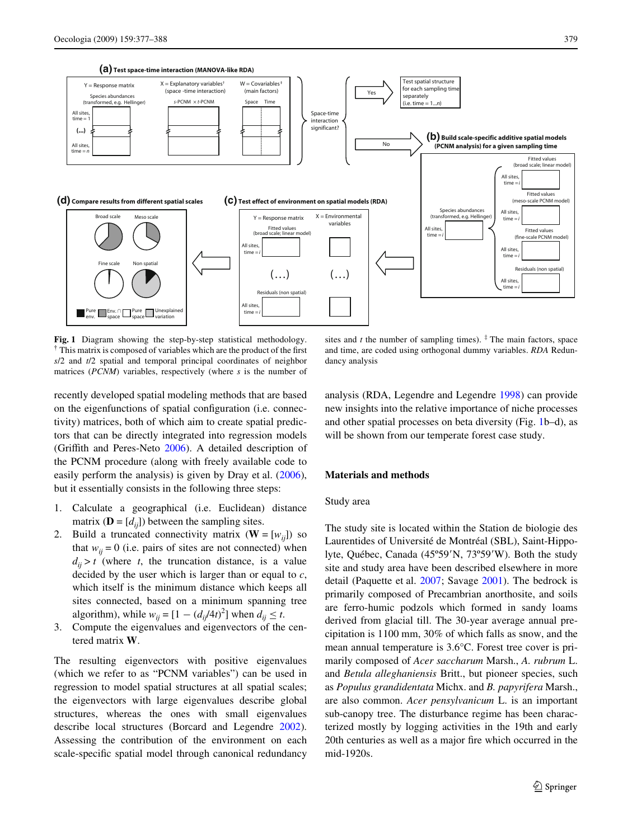

<span id="page-2-0"></span>**Fig. 1** Diagram showing the step-by-step statistical methodology.  $\dagger$  This matrix is composed of variables which are the product of the first *s*/2 and *t*/2 spatial and temporal principal coordinates of neighbor matrices (*PCNM*) variables, respectively (where *s* is the number of

recently developed spatial modeling methods that are based on the eigenfunctions of spatial configuration (i.e. connectivity) matrices, both of which aim to create spatial predictors that can be directly integrated into regression models (Griffith and Peres-Neto [2006](#page-10-10)). A detailed description of the PCNM procedure (along with freely available code to easily perform the analysis) is given by Dray et al. [\(2006](#page-10-9)), but it essentially consists in the following three steps:

- 1. Calculate a geographical (i.e. Euclidean) distance matrix ( $\mathbf{D} = [d_{ii}]$ ) between the sampling sites.
- 2. Build a truncated connectivity matrix  $(\mathbf{W} = [w_{ij}])$  so that  $w_{ii} = 0$  (i.e. pairs of sites are not connected) when  $d_{ij} > t$  (where *t*, the truncation distance, is a value decided by the user which is larger than or equal to *c*, which itself is the minimum distance which keeps all sites connected, based on a minimum spanning tree algorithm), while  $w_{ij} = [1 - (d_{ij}/4t)^2]$  when  $d_{ij} \leq t$ .
- 3. Compute the eigenvalues and eigenvectors of the centered matrix **W**.

The resulting eigenvectors with positive eigenvalues (which we refer to as "PCNM variables") can be used in regression to model spatial structures at all spatial scales; the eigenvectors with large eigenvalues describe global structures, whereas the ones with small eigenvalues describe local structures (Borcard and Legendre [2002](#page-10-6)). Assessing the contribution of the environment on each scale-specific spatial model through canonical redundancy

sites and  $t$  the number of sampling times).  $\frac{4}{3}$  The main factors, space and time, are coded using orthogonal dummy variables. *RDA* Redundancy analysis

analysis (RDA, Legendre and Legendre [1998](#page-11-13)) can provide new insights into the relative importance of niche processes and other spatial processes on beta diversity (Fig. [1b](#page-2-0)–d), as will be shown from our temperate forest case study.

## **Materials and methods**

#### Study area

The study site is located within the Station de biologie des Laurentides of Université de Montréal (SBL), Saint-Hippolyte, Québec, Canada (45°59'N, 73°59'W). Both the study site and study area have been described elsewhere in more detail (Paquette et al. [2007;](#page-11-12) Savage [2001\)](#page-11-14). The bedrock is primarily composed of Precambrian anorthosite, and soils are ferro-humic podzols which formed in sandy loams derived from glacial till. The 30-year average annual precipitation is 1100 mm, 30% of which falls as snow, and the mean annual temperature is 3.6°C. Forest tree cover is primarily composed of *Acer saccharum* Marsh., *A. rubrum* L. and *Betula alleghaniensis* Britt., but pioneer species, such as *Populus grandidentata* Michx. and *B. papyrifera* Marsh., are also common. *Acer pensylvanicum* L. is an important sub-canopy tree. The disturbance regime has been characterized mostly by logging activities in the 19th and early 20th centuries as well as a major fire which occurred in the mid-1920s.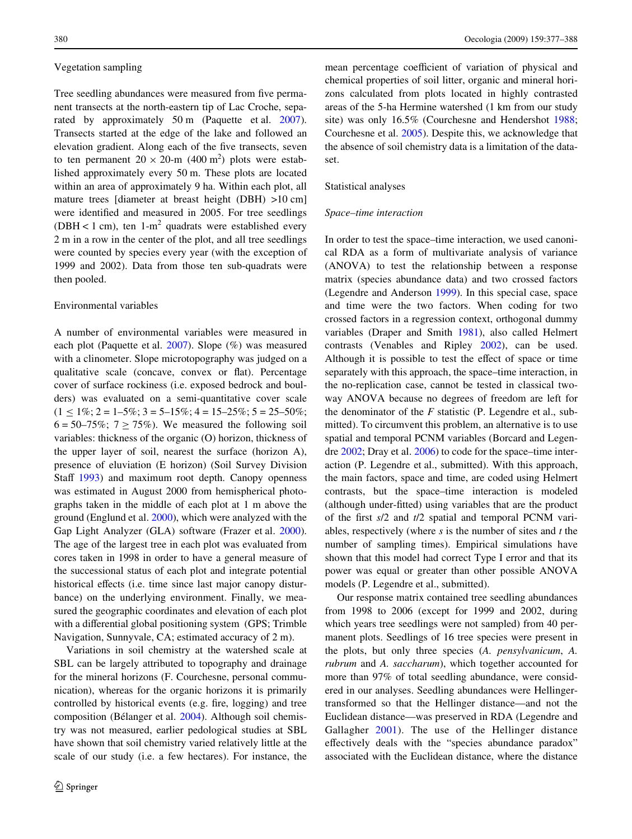#### Vegetation sampling

Tree seedling abundances were measured from five permanent transects at the north-eastern tip of Lac Croche, sepa-rated by approximately 50 m (Paquette et al. [2007](#page-11-12)). Transects started at the edge of the lake and followed an elevation gradient. Along each of the five transects, seven to ten permanent  $20 \times 20$ -m (400 m<sup>2</sup>) plots were established approximately every 50 m. These plots are located within an area of approximately 9 ha. Within each plot, all mature trees [diameter at breast height (DBH) >10 cm] were identified and measured in 2005. For tree seedlings (DBH < 1 cm), ten  $1-m^2$  quadrats were established every 2 m in a row in the center of the plot, and all tree seedlings were counted by species every year (with the exception of 1999 and 2002). Data from those ten sub-quadrats were then pooled.

### Environmental variables

A number of environmental variables were measured in each plot (Paquette et al. [2007\)](#page-11-12). Slope (%) was measured with a clinometer. Slope microtopography was judged on a qualitative scale (concave, convex or flat). Percentage cover of surface rockiness (i.e. exposed bedrock and boulders) was evaluated on a semi-quantitative cover scale  $(1 \leq 1\%; 2 = 1-5\%; 3 = 5-15\%; 4 = 15-25\%; 5 = 25-50\%;$  $6 = 50 - 75\%$ ;  $7 \ge 75\%$ ). We measured the following soil variables: thickness of the organic (O) horizon, thickness of the upper layer of soil, nearest the surface (horizon A), presence of eluviation (E horizon) (Soil Survey Division Staff  $1993$ ) and maximum root depth. Canopy openness was estimated in August 2000 from hemispherical photographs taken in the middle of each plot at 1 m above the ground (Englund et al. [2000\)](#page-10-11), which were analyzed with the Gap Light Analyzer (GLA) software (Frazer et al. [2000](#page-10-12)). The age of the largest tree in each plot was evaluated from cores taken in 1998 in order to have a general measure of the successional status of each plot and integrate potential historical effects (i.e. time since last major canopy disturbance) on the underlying environment. Finally, we measured the geographic coordinates and elevation of each plot with a differential global positioning system (GPS; Trimble Navigation, Sunnyvale, CA; estimated accuracy of 2 m).

Variations in soil chemistry at the watershed scale at SBL can be largely attributed to topography and drainage for the mineral horizons (F. Courchesne, personal communication), whereas for the organic horizons it is primarily controlled by historical events (e.g. fire, logging) and tree composition (Bélanger et al. [2004](#page-10-13)). Although soil chemistry was not measured, earlier pedological studies at SBL have shown that soil chemistry varied relatively little at the scale of our study (i.e. a few hectares). For instance, the mean percentage coefficient of variation of physical and chemical properties of soil litter, organic and mineral horizons calculated from plots located in highly contrasted areas of the 5-ha Hermine watershed (1 km from our study site) was only 16.5% (Courchesne and Hendershot [1988;](#page-10-14) Courchesne et al. [2005](#page-10-15)). Despite this, we acknowledge that the absence of soil chemistry data is a limitation of the dataset.

## Statistical analyses

### *Space–time interaction*

In order to test the space–time interaction, we used canonical RDA as a form of multivariate analysis of variance (ANOVA) to test the relationship between a response matrix (species abundance data) and two crossed factors (Legendre and Anderson [1999](#page-11-16)). In this special case, space and time were the two factors. When coding for two crossed factors in a regression context, orthogonal dummy variables (Draper and Smith [1981](#page-10-16)), also called Helmert contrasts (Venables and Ripley [2002](#page-11-17)), can be used. Although it is possible to test the effect of space or time separately with this approach, the space–time interaction, in the no-replication case, cannot be tested in classical twoway ANOVA because no degrees of freedom are left for the denominator of the *F* statistic (P. Legendre et al., submitted). To circumvent this problem, an alternative is to use spatial and temporal PCNM variables (Borcard and Legendre [2002](#page-10-6); Dray et al. [2006](#page-10-9)) to code for the space–time interaction (P. Legendre et al., submitted). With this approach, the main factors, space and time, are coded using Helmert contrasts, but the space–time interaction is modeled (although under-fitted) using variables that are the product of the first  $s/2$  and  $t/2$  spatial and temporal PCNM variables, respectively (where *s* is the number of sites and *t* the number of sampling times). Empirical simulations have shown that this model had correct Type I error and that its power was equal or greater than other possible ANOVA models (P. Legendre et al., submitted).

Our response matrix contained tree seedling abundances from 1998 to 2006 (except for 1999 and 2002, during which years tree seedlings were not sampled) from 40 permanent plots. Seedlings of 16 tree species were present in the plots, but only three species (*A. pensylvanicum*, *A. rubrum* and *A. saccharum*), which together accounted for more than 97% of total seedling abundance, were considered in our analyses. Seedling abundances were Hellingertransformed so that the Hellinger distance—and not the Euclidean distance—was preserved in RDA (Legendre and Gallagher [2001\)](#page-11-18). The use of the Hellinger distance effectively deals with the "species abundance paradox" associated with the Euclidean distance, where the distance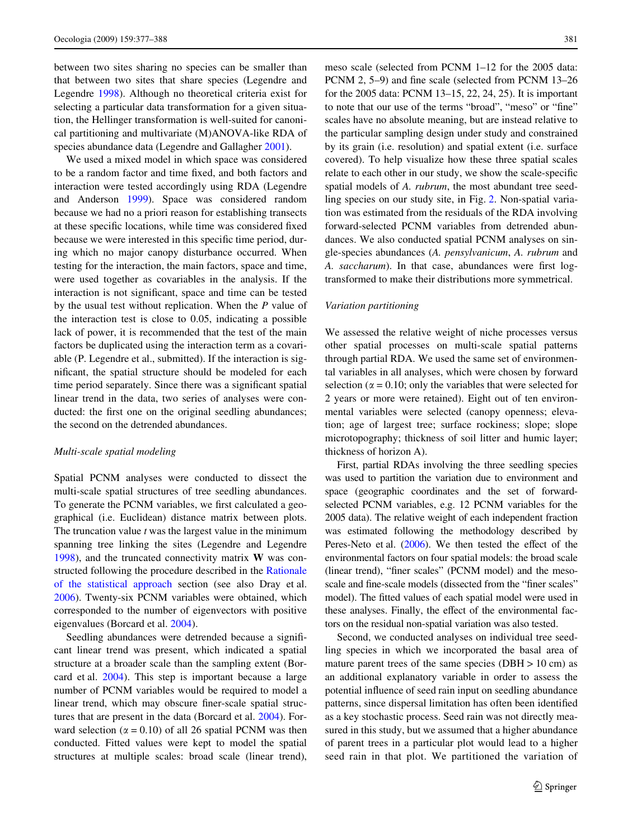between two sites sharing no species can be smaller than that between two sites that share species (Legendre and Legendre [1998](#page-11-13)). Although no theoretical criteria exist for selecting a particular data transformation for a given situation, the Hellinger transformation is well-suited for canonical partitioning and multivariate (M)ANOVA-like RDA of species abundance data (Legendre and Gallagher [2001](#page-11-18)).

We used a mixed model in which space was considered to be a random factor and time fixed, and both factors and interaction were tested accordingly using RDA (Legendre and Anderson [1999\)](#page-11-16). Space was considered random because we had no a priori reason for establishing transects at these specific locations, while time was considered fixed because we were interested in this specific time period, during which no major canopy disturbance occurred. When testing for the interaction, the main factors, space and time, were used together as covariables in the analysis. If the interaction is not significant, space and time can be tested by the usual test without replication. When the *P* value of the interaction test is close to 0.05, indicating a possible lack of power, it is recommended that the test of the main factors be duplicated using the interaction term as a covariable (P. Legendre et al., submitted). If the interaction is significant, the spatial structure should be modeled for each time period separately. Since there was a significant spatial linear trend in the data, two series of analyses were conducted: the first one on the original seedling abundances; the second on the detrended abundances.

#### *Multi-scale spatial modeling*

Spatial PCNM analyses were conducted to dissect the multi-scale spatial structures of tree seedling abundances. To generate the PCNM variables, we first calculated a geographical (i.e. Euclidean) distance matrix between plots. The truncation value *t* was the largest value in the minimum spanning tree linking the sites (Legendre and Legendre [1998](#page-11-13)), and the truncated connectivity matrix **W** was constructed following the procedure described in the [Rationale](#page-1-0) [of the statistical approach](#page-1-0) section (see also Dray et al. [2006](#page-10-9)). Twenty-six PCNM variables were obtained, which corresponded to the number of eigenvectors with positive eigenvalues (Borcard et al. [2004\)](#page-10-7).

Seedling abundances were detrended because a significant linear trend was present, which indicated a spatial structure at a broader scale than the sampling extent (Borcard et al. [2004\)](#page-10-7). This step is important because a large number of PCNM variables would be required to model a linear trend, which may obscure finer-scale spatial structures that are present in the data (Borcard et al. [2004](#page-10-7)). Forward selection ( $\alpha = 0.10$ ) of all 26 spatial PCNM was then conducted. Fitted values were kept to model the spatial structures at multiple scales: broad scale (linear trend), meso scale (selected from PCNM 1–12 for the 2005 data: PCNM 2, 5–9) and fine scale (selected from PCNM 13–26 for the 2005 data: PCNM 13–15, 22, 24, 25). It is important to note that our use of the terms "broad", "meso" or "fine" scales have no absolute meaning, but are instead relative to the particular sampling design under study and constrained by its grain (i.e. resolution) and spatial extent (i.e. surface covered). To help visualize how these three spatial scales relate to each other in our study, we show the scale-specific spatial models of *A. rubrum*, the most abundant tree seedling species on our study site, in Fig. [2](#page-5-0). Non-spatial variation was estimated from the residuals of the RDA involving forward-selected PCNM variables from detrended abundances. We also conducted spatial PCNM analyses on single-species abundances (*A. pensylvanicum*, *A. rubrum* and A. saccharum). In that case, abundances were first logtransformed to make their distributions more symmetrical.

#### *Variation partitioning*

We assessed the relative weight of niche processes versus other spatial processes on multi-scale spatial patterns through partial RDA. We used the same set of environmental variables in all analyses, which were chosen by forward selection ( $\alpha = 0.10$ ; only the variables that were selected for 2 years or more were retained). Eight out of ten environmental variables were selected (canopy openness; elevation; age of largest tree; surface rockiness; slope; slope microtopography; thickness of soil litter and humic layer; thickness of horizon A).

First, partial RDAs involving the three seedling species was used to partition the variation due to environment and space (geographic coordinates and the set of forwardselected PCNM variables, e.g. 12 PCNM variables for the 2005 data). The relative weight of each independent fraction was estimated following the methodology described by Peres-Neto et al.  $(2006)$  $(2006)$  $(2006)$ . We then tested the effect of the environmental factors on four spatial models: the broad scale (linear trend), "finer scales" (PCNM model) and the mesoscale and fine-scale models (dissected from the "finer scales" model). The fitted values of each spatial model were used in these analyses. Finally, the effect of the environmental factors on the residual non-spatial variation was also tested.

Second, we conducted analyses on individual tree seedling species in which we incorporated the basal area of mature parent trees of the same species (DBH  $> 10$  cm) as an additional explanatory variable in order to assess the potential influence of seed rain input on seedling abundance patterns, since dispersal limitation has often been identified as a key stochastic process. Seed rain was not directly measured in this study, but we assumed that a higher abundance of parent trees in a particular plot would lead to a higher seed rain in that plot. We partitioned the variation of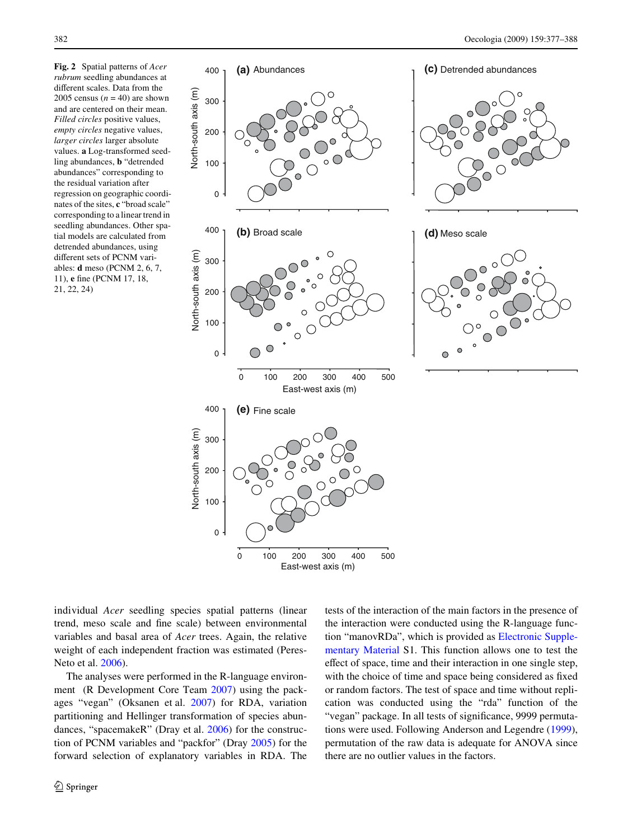<span id="page-5-0"></span>**Fig. 2** Spatial patterns of *Acer rubrum* seedling abundances at different scales. Data from the 2005 census  $(n = 40)$  are shown and are centered on their mean. *Filled circles* positive values, *empty circles* negative values, *larger circles* larger absolute values. **a** Log-transformed seedling abundances, **b** "detrended abundances" corresponding to the residual variation after regression on geographic coordinates of the sites, **c** "broad scale" corresponding to a linear trend in seedling abundances. Other spatial models are calculated from detrended abundances, using different sets of PCNM variables: **d** meso (PCNM 2, 6, 7, 11), **e** fine (PCNM 17, 18, 21, 22, 24)



East-west axis (m)

individual *Acer* seedling species spatial patterns (linear trend, meso scale and fine scale) between environmental variables and basal area of *Acer* trees. Again, the relative weight of each independent fraction was estimated (Peres-Neto et al. [2006\)](#page-11-19).

The analyses were performed in the R-language environment (R Development Core Team [2007\)](#page-11-20) using the packages "vegan" (Oksanen et al. [2007\)](#page-11-21) for RDA, variation partitioning and Hellinger transformation of species abundances, "spacemakeR" (Dray et al. [2006](#page-10-9)) for the construction of PCNM variables and "packfor" (Dray [2005](#page-10-17)) for the forward selection of explanatory variables in RDA. The tests of the interaction of the main factors in the presence of the interaction were conducted using the R-language function "manovRDa", which is provided as Electronic Supplementary Material S1. This function allows one to test the effect of space, time and their interaction in one single step, with the choice of time and space being considered as fixed or random factors. The test of space and time without replication was conducted using the "rda" function of the "vegan" package. In all tests of significance, 9999 permutations were used. Following Anderson and Legendre ([1999](#page-10-18)), permutation of the raw data is adequate for ANOVA since there are no outlier values in the factors.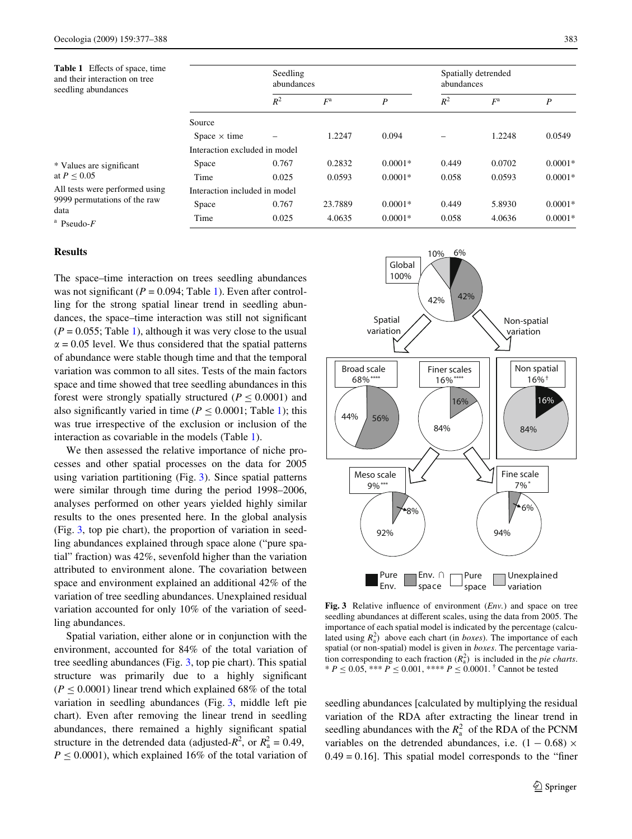<span id="page-6-0"></span>

| <b>Table 1</b> Effects of space, time<br>and their interaction on tree<br>seedling abundances |                               | Seedling<br>abundances |             |           | Spatially detrended<br>abundances |        |           |
|-----------------------------------------------------------------------------------------------|-------------------------------|------------------------|-------------|-----------|-----------------------------------|--------|-----------|
|                                                                                               |                               | $R^2$                  | $F^{\rm a}$ | P         | $R^2$                             | $F^a$  | P         |
|                                                                                               | Source                        |                        |             |           |                                   |        |           |
|                                                                                               | Space $\times$ time           |                        | 1.2247      | 0.094     |                                   | 1.2248 | 0.0549    |
|                                                                                               | Interaction excluded in model |                        |             |           |                                   |        |           |
| * Values are significant<br>at $P \leq 0.05$                                                  | Space                         | 0.767                  | 0.2832      | $0.0001*$ | 0.449                             | 0.0702 | $0.0001*$ |
|                                                                                               | Time                          | 0.025                  | 0.0593      | $0.0001*$ | 0.058                             | 0.0593 | $0.0001*$ |
| All tests were performed using<br>9999 permutations of the raw<br>data<br>$a$ Pseudo- $F$     | Interaction included in model |                        |             |           |                                   |        |           |
|                                                                                               | Space                         | 0.767                  | 23.7889     | $0.0001*$ | 0.449                             | 5.8930 | $0.0001*$ |
|                                                                                               | Time                          | 0.025                  | 4.0635      | $0.0001*$ | 0.058                             | 4.0636 | $0.0001*$ |

# **Results**

The space–time interaction on trees seedling abundances was not significant ( $P = 0.094$ ; Table [1\)](#page-6-0). Even after controlling for the strong spatial linear trend in seedling abundances, the space–time interaction was still not significant  $(P = 0.055$ ; Table [1\)](#page-6-0), although it was very close to the usual  $\alpha$  = 0.05 level. We thus considered that the spatial patterns of abundance were stable though time and that the temporal variation was common to all sites. Tests of the main factors space and time showed that tree seedling abundances in this forest were strongly spatially structured ( $P \leq 0.0001$ ) and also significantly varied in time ( $P < 0.0001$ ; Table [1\)](#page-6-0); this was true irrespective of the exclusion or inclusion of the interaction as covariable in the models (Table [1](#page-6-0)).

We then assessed the relative importance of niche processes and other spatial processes on the data for 2005 using variation partitioning (Fig. [3](#page-6-1)). Since spatial patterns were similar through time during the period 1998–2006, analyses performed on other years yielded highly similar results to the ones presented here. In the global analysis (Fig. [3,](#page-6-1) top pie chart), the proportion of variation in seedling abundances explained through space alone ("pure spatial" fraction) was 42%, sevenfold higher than the variation attributed to environment alone. The covariation between space and environment explained an additional 42% of the variation of tree seedling abundances. Unexplained residual variation accounted for only 10% of the variation of seedling abundances.

Spatial variation, either alone or in conjunction with the environment, accounted for 84% of the total variation of tree seedling abundances (Fig. [3,](#page-6-1) top pie chart). This spatial structure was primarily due to a highly significant  $(P \le 0.0001)$  linear trend which explained 68% of the total variation in seedling abundances (Fig. [3](#page-6-1), middle left pie chart). Even after removing the linear trend in seedling abundances, there remained a highly significant spatial structure in the detrended data (adjusted- $R^2$ , or  $R_a^2 = 0.49$ ,  $P \leq 0.0001$ , which explained 16% of the total variation of



<span id="page-6-1"></span>**Fig. 3** Relative influence of environment  $(Env.)$  and space on tree seedling abundances at different scales, using the data from 2005. The importance of each spatial model is indicated by the percentage (calculated using  $R_a^2$ ) above each chart (in *boxes*). The importance of each spatial (or non-spatial) model is given in *boxes*. The percentage variation corresponding to each fraction  $(R_a^2)$  is included in the *pie charts*. \*  $P \le 0.05$ , \*\*\*  $P \le 0.001$ , \*\*\*\*  $P \le 0.0001$ . <sup>†</sup> Cannot be tested

seedling abundances [calculated by multiplying the residual variation of the RDA after extracting the linear trend in seedling abundances with the  $R_a^2$  of the RDA of the PCNM variables on the detrended abundances, i.e.  $(1 - 0.68) \times$  $0.49 = 0.16$ . This spatial model corresponds to the "finer"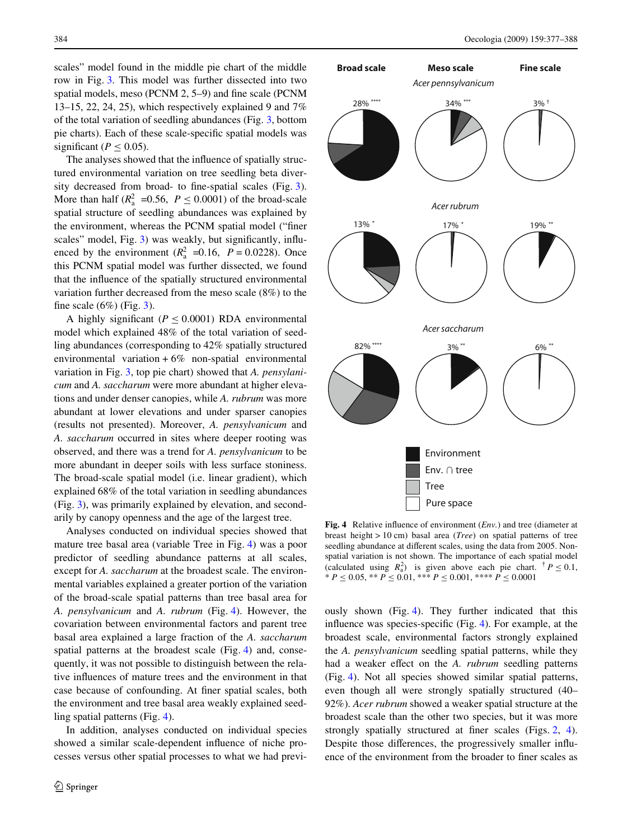scales" model found in the middle pie chart of the middle row in Fig. [3.](#page-6-1) This model was further dissected into two spatial models, meso (PCNM  $2, 5-9$ ) and fine scale (PCNM 13–15, 22, 24, 25), which respectively explained 9 and 7% of the total variation of seedling abundances (Fig. [3,](#page-6-1) bottom pie charts). Each of these scale-specific spatial models was significant ( $P < 0.05$ ).

The analyses showed that the influence of spatially structured environmental variation on tree seedling beta diversity decreased from broad- to fine-spatial scales (Fig.  $3$ ). More than half  $(R_a^2 = 0.56, P \le 0.0001)$  of the broad-scale spatial structure of seedling abundances was explained by the environment, whereas the PCNM spatial model ("finer scales" model, Fig. [3\)](#page-6-1) was weakly, but significantly, influenced by the environment  $(R_a^2 = 0.16, P = 0.0228)$ . Once this PCNM spatial model was further dissected, we found that the influence of the spatially structured environmental variation further decreased from the meso scale (8%) to the fine scale  $(6\%)$  (Fig. [3](#page-6-1)).

A highly significant ( $P \leq 0.0001$ ) RDA environmental model which explained 48% of the total variation of seedling abundances (corresponding to 42% spatially structured environmental variation  $+6\%$  non-spatial environmental variation in Fig. [3](#page-6-1), top pie chart) showed that *A. pensylanicum* and *A. saccharum* were more abundant at higher elevations and under denser canopies, while *A. rubrum* was more abundant at lower elevations and under sparser canopies (results not presented). Moreover, *A. pensylvanicum* and *A. saccharum* occurred in sites where deeper rooting was observed, and there was a trend for *A. pensylvanicum* to be more abundant in deeper soils with less surface stoniness. The broad-scale spatial model (i.e. linear gradient), which explained 68% of the total variation in seedling abundances (Fig. [3\)](#page-6-1), was primarily explained by elevation, and secondarily by canopy openness and the age of the largest tree.

Analyses conducted on individual species showed that mature tree basal area (variable Tree in Fig. [4](#page-7-0)) was a poor predictor of seedling abundance patterns at all scales, except for *A. saccharum* at the broadest scale. The environmental variables explained a greater portion of the variation of the broad-scale spatial patterns than tree basal area for *A. pensylvanicum* and *A. rubrum* (Fig. [4](#page-7-0)). However, the covariation between environmental factors and parent tree basal area explained a large fraction of the *A. saccharum* spatial patterns at the broadest scale (Fig. [4](#page-7-0)) and, consequently, it was not possible to distinguish between the relative influences of mature trees and the environment in that case because of confounding. At finer spatial scales, both the environment and tree basal area weakly explained seedling spatial patterns (Fig. [4\)](#page-7-0).

In addition, analyses conducted on individual species showed a similar scale-dependent influence of niche processes versus other spatial processes to what we had previ-



<span id="page-7-0"></span>**Fig. 4** Relative influence of environment (*Env.*) and tree (diameter at breast height > 10 cm) basal area (*Tree*) on spatial patterns of tree seedling abundance at different scales, using the data from 2005. Nonspatial variation is not shown. The importance of each spatial model (calculated using  $R_a^2$ ) is given above each pie chart.  $\dagger P \leq 0.1$ ,  $* P \le 0.05$ ,  $* P \le 0.01$ ,  $* * P \le 0.001$ ,  $* * * P \le 0.0001$ 

ously shown (Fig. [4](#page-7-0)). They further indicated that this influence was species-specific (Fig.  $4$ ). For example, at the broadest scale, environmental factors strongly explained the *A. pensylvanicum* seedling spatial patterns, while they had a weaker effect on the *A. rubrum* seedling patterns (Fig. [4\)](#page-7-0). Not all species showed similar spatial patterns, even though all were strongly spatially structured (40– 92%). *Acer rubrum* showed a weaker spatial structure at the broadest scale than the other two species, but it was more strongly spatially structured at finer scales (Figs.  $2, 4$  $2, 4$  $2, 4$ ). Despite those differences, the progressively smaller influence of the environment from the broader to finer scales as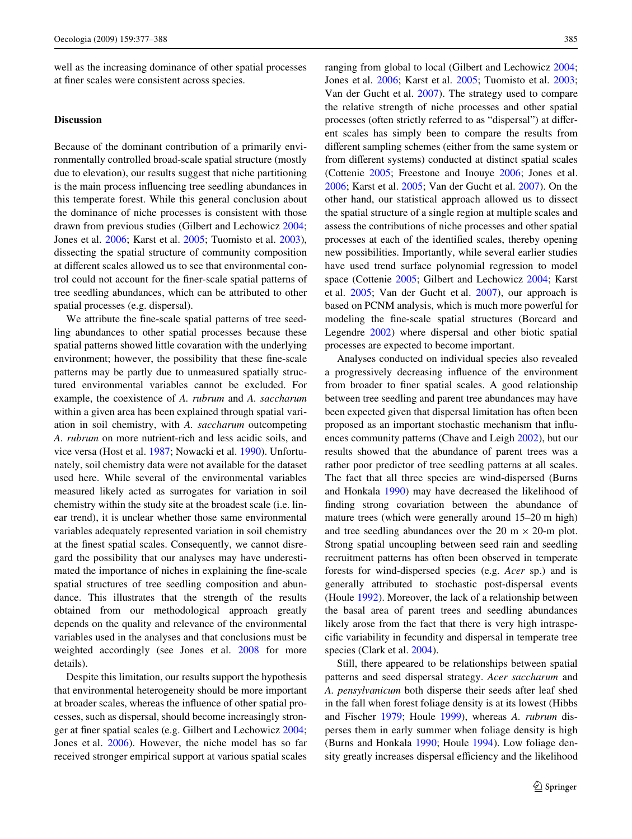well as the increasing dominance of other spatial processes at finer scales were consistent across species.

## **Discussion**

Because of the dominant contribution of a primarily environmentally controlled broad-scale spatial structure (mostly due to elevation), our results suggest that niche partitioning is the main process influencing tree seedling abundances in this temperate forest. While this general conclusion about the dominance of niche processes is consistent with those drawn from previous studies (Gilbert and Lechowicz [2004](#page-10-1); Jones et al. [2006](#page-11-22); Karst et al. [2005;](#page-11-3) Tuomisto et al. [2003](#page-11-23)), dissecting the spatial structure of community composition at different scales allowed us to see that environmental control could not account for the finer-scale spatial patterns of tree seedling abundances, which can be attributed to other spatial processes (e.g. dispersal).

We attribute the fine-scale spatial patterns of tree seedling abundances to other spatial processes because these spatial patterns showed little covaration with the underlying environment; however, the possibility that these fine-scale patterns may be partly due to unmeasured spatially structured environmental variables cannot be excluded. For example, the coexistence of *A. rubrum* and *A. saccharum* within a given area has been explained through spatial variation in soil chemistry, with *A. saccharum* outcompeting *A. rubrum* on more nutrient-rich and less acidic soils, and vice versa (Host et al. [1987](#page-11-24); Nowacki et al. [1990\)](#page-11-25). Unfortunately, soil chemistry data were not available for the dataset used here. While several of the environmental variables measured likely acted as surrogates for variation in soil chemistry within the study site at the broadest scale (i.e. linear trend), it is unclear whether those same environmental variables adequately represented variation in soil chemistry at the finest spatial scales. Consequently, we cannot disregard the possibility that our analyses may have underestimated the importance of niches in explaining the fine-scale spatial structures of tree seedling composition and abundance. This illustrates that the strength of the results obtained from our methodological approach greatly depends on the quality and relevance of the environmental variables used in the analyses and that conclusions must be weighted accordingly (see Jones et al. [2008](#page-11-2) for more details).

Despite this limitation, our results support the hypothesis that environmental heterogeneity should be more important at broader scales, whereas the influence of other spatial processes, such as dispersal, should become increasingly stron-ger at finer spatial scales (e.g. Gilbert and Lechowicz [2004](#page-10-1); Jones et al. [2006](#page-11-22)). However, the niche model has so far received stronger empirical support at various spatial scales ranging from global to local (Gilbert and Lechowicz [2004;](#page-10-1) Jones et al. [2006](#page-11-22); Karst et al. [2005;](#page-11-3) Tuomisto et al. [2003;](#page-11-23) Van der Gucht et al. [2007](#page-11-26)). The strategy used to compare the relative strength of niche processes and other spatial processes (often strictly referred to as "dispersal") at different scales has simply been to compare the results from different sampling schemes (either from the same system or from different systems) conducted at distinct spatial scales (Cottenie [2005](#page-10-19); Freestone and Inouye [2006;](#page-10-20) Jones et al. [2006](#page-11-22); Karst et al. [2005](#page-11-3); Van der Gucht et al. [2007](#page-11-26)). On the other hand, our statistical approach allowed us to dissect the spatial structure of a single region at multiple scales and assess the contributions of niche processes and other spatial processes at each of the identified scales, thereby opening new possibilities. Importantly, while several earlier studies have used trend surface polynomial regression to model space (Cottenie [2005;](#page-10-19) Gilbert and Lechowicz [2004](#page-10-1); Karst et al. [2005](#page-11-3); Van der Gucht et al. [2007](#page-11-26)), our approach is based on PCNM analysis, which is much more powerful for modeling the fine-scale spatial structures (Borcard and Legendre [2002\)](#page-10-6) where dispersal and other biotic spatial processes are expected to become important.

Analyses conducted on individual species also revealed a progressively decreasing influence of the environment from broader to finer spatial scales. A good relationship between tree seedling and parent tree abundances may have been expected given that dispersal limitation has often been proposed as an important stochastic mechanism that influences community patterns (Chave and Leigh [2002](#page-10-21)), but our results showed that the abundance of parent trees was a rather poor predictor of tree seedling patterns at all scales. The fact that all three species are wind-dispersed (Burns and Honkala [1990\)](#page-10-22) may have decreased the likelihood of finding strong covariation between the abundance of mature trees (which were generally around 15–20 m high) and tree seedling abundances over the 20 m  $\times$  20-m plot. Strong spatial uncoupling between seed rain and seedling recruitment patterns has often been observed in temperate forests for wind-dispersed species (e.g. *Acer* sp.) and is generally attributed to stochastic post-dispersal events (Houle [1992\)](#page-11-27). Moreover, the lack of a relationship between the basal area of parent trees and seedling abundances likely arose from the fact that there is very high intraspecific variability in fecundity and dispersal in temperate tree species (Clark et al. [2004\)](#page-10-23).

Still, there appeared to be relationships between spatial patterns and seed dispersal strategy. *Acer saccharum* and *A. pensylvanicum* both disperse their seeds after leaf shed in the fall when forest foliage density is at its lowest (Hibbs and Fischer [1979;](#page-11-28) Houle [1999\)](#page-11-29), whereas *A. rubrum* disperses them in early summer when foliage density is high (Burns and Honkala [1990](#page-10-22); Houle [1994\)](#page-11-30). Low foliage density greatly increases dispersal efficiency and the likelihood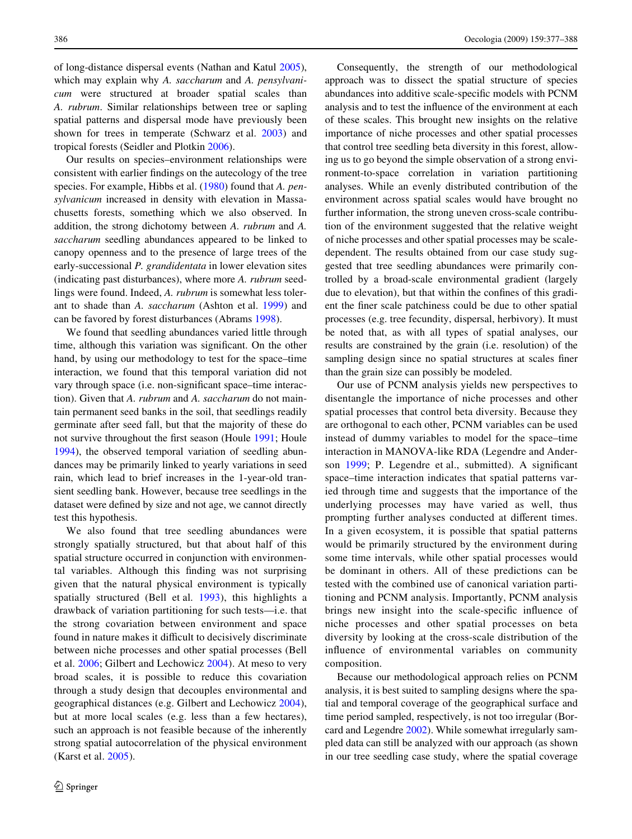of long-distance dispersal events (Nathan and Katul [2005](#page-11-31)), which may explain why *A. saccharum* and *A. pensylvanicum* were structured at broader spatial scales than *A. rubrum*. Similar relationships between tree or sapling spatial patterns and dispersal mode have previously been shown for trees in temperate (Schwarz et al. [2003\)](#page-11-32) and tropical forests (Seidler and Plotkin [2006\)](#page-11-33).

Our results on species–environment relationships were consistent with earlier findings on the autecology of the tree species. For example, Hibbs et al. [\(1980](#page-11-34)) found that *A. pensylvanicum* increased in density with elevation in Massachusetts forests, something which we also observed. In addition, the strong dichotomy between *A. rubrum* and *A. saccharum* seedling abundances appeared to be linked to canopy openness and to the presence of large trees of the early-successional *P. grandidentata* in lower elevation sites (indicating past disturbances), where more *A. rubrum* seedlings were found. Indeed, *A. rubrum* is somewhat less tolerant to shade than *A. saccharum* (Ashton et al. [1999](#page-10-24)) and can be favored by forest disturbances (Abrams [1998](#page-10-25)).

We found that seedling abundances varied little through time, although this variation was significant. On the other hand, by using our methodology to test for the space–time interaction, we found that this temporal variation did not vary through space (i.e. non-significant space–time interaction). Given that *A. rubrum* and *A. saccharum* do not maintain permanent seed banks in the soil, that seedlings readily germinate after seed fall, but that the majority of these do not survive throughout the first season (Houle [1991](#page-11-35); Houle [1994](#page-11-30)), the observed temporal variation of seedling abundances may be primarily linked to yearly variations in seed rain, which lead to brief increases in the 1-year-old transient seedling bank. However, because tree seedlings in the dataset were defined by size and not age, we cannot directly test this hypothesis.

We also found that tree seedling abundances were strongly spatially structured, but that about half of this spatial structure occurred in conjunction with environmental variables. Although this finding was not surprising given that the natural physical environment is typically spatially structured (Bell et al. [1993\)](#page-10-5), this highlights a drawback of variation partitioning for such tests—i.e. that the strong covariation between environment and space found in nature makes it difficult to decisively discriminate between niche processes and other spatial processes (Bell et al. [2006;](#page-10-2) Gilbert and Lechowicz [2004](#page-10-1)). At meso to very broad scales, it is possible to reduce this covariation through a study design that decouples environmental and geographical distances (e.g. Gilbert and Lechowicz [2004](#page-10-1)), but at more local scales (e.g. less than a few hectares), such an approach is not feasible because of the inherently strong spatial autocorrelation of the physical environment (Karst et al. [2005\)](#page-11-3).

Consequently, the strength of our methodological approach was to dissect the spatial structure of species abundances into additive scale-specific models with PCNM analysis and to test the influence of the environment at each of these scales. This brought new insights on the relative importance of niche processes and other spatial processes that control tree seedling beta diversity in this forest, allowing us to go beyond the simple observation of a strong environment-to-space correlation in variation partitioning analyses. While an evenly distributed contribution of the environment across spatial scales would have brought no further information, the strong uneven cross-scale contribution of the environment suggested that the relative weight of niche processes and other spatial processes may be scaledependent. The results obtained from our case study suggested that tree seedling abundances were primarily controlled by a broad-scale environmental gradient (largely due to elevation), but that within the confines of this gradient the finer scale patchiness could be due to other spatial processes (e.g. tree fecundity, dispersal, herbivory). It must be noted that, as with all types of spatial analyses, our results are constrained by the grain (i.e. resolution) of the sampling design since no spatial structures at scales finer than the grain size can possibly be modeled.

Our use of PCNM analysis yields new perspectives to disentangle the importance of niche processes and other spatial processes that control beta diversity. Because they are orthogonal to each other, PCNM variables can be used instead of dummy variables to model for the space–time interaction in MANOVA-like RDA (Legendre and Anderson  $1999$ ; P. Legendre et al., submitted). A significant space–time interaction indicates that spatial patterns varied through time and suggests that the importance of the underlying processes may have varied as well, thus prompting further analyses conducted at different times. In a given ecosystem, it is possible that spatial patterns would be primarily structured by the environment during some time intervals, while other spatial processes would be dominant in others. All of these predictions can be tested with the combined use of canonical variation partitioning and PCNM analysis. Importantly, PCNM analysis brings new insight into the scale-specific influence of niche processes and other spatial processes on beta diversity by looking at the cross-scale distribution of the influence of environmental variables on community composition.

Because our methodological approach relies on PCNM analysis, it is best suited to sampling designs where the spatial and temporal coverage of the geographical surface and time period sampled, respectively, is not too irregular (Borcard and Legendre [2002](#page-10-6)). While somewhat irregularly sampled data can still be analyzed with our approach (as shown in our tree seedling case study, where the spatial coverage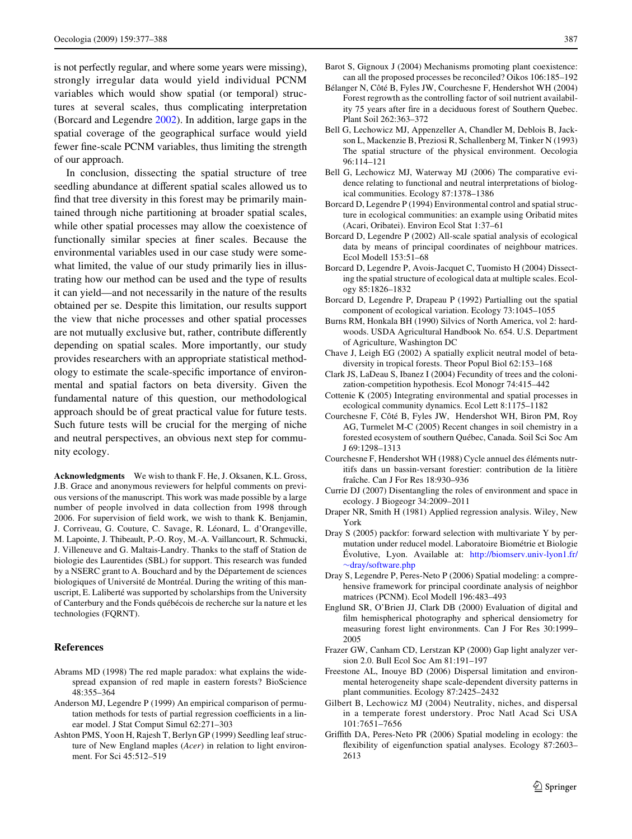is not perfectly regular, and where some years were missing), strongly irregular data would yield individual PCNM variables which would show spatial (or temporal) structures at several scales, thus complicating interpretation (Borcard and Legendre [2002](#page-10-6)). In addition, large gaps in the spatial coverage of the geographical surface would yield fewer fine-scale PCNM variables, thus limiting the strength of our approach.

In conclusion, dissecting the spatial structure of tree seedling abundance at different spatial scales allowed us to find that tree diversity in this forest may be primarily maintained through niche partitioning at broader spatial scales, while other spatial processes may allow the coexistence of functionally similar species at finer scales. Because the environmental variables used in our case study were somewhat limited, the value of our study primarily lies in illustrating how our method can be used and the type of results it can yield—and not necessarily in the nature of the results obtained per se. Despite this limitation, our results support the view that niche processes and other spatial processes are not mutually exclusive but, rather, contribute differently depending on spatial scales. More importantly, our study provides researchers with an appropriate statistical methodology to estimate the scale-specific importance of environmental and spatial factors on beta diversity. Given the fundamental nature of this question, our methodological approach should be of great practical value for future tests. Such future tests will be crucial for the merging of niche and neutral perspectives, an obvious next step for community ecology.

**Acknowledgments** We wish to thank F. He, J. Oksanen, K.L. Gross, J.B. Grace and anonymous reviewers for helpful comments on previous versions of the manuscript. This work was made possible by a large number of people involved in data collection from 1998 through 2006. For supervision of field work, we wish to thank K. Benjamin, J. Corriveau, G. Couture, C. Savage, R. Léonard, L. d'Orangeville, M. Lapointe, J. Thibeault, P.-O. Roy, M.-A. Vaillancourt, R. Schmucki, J. Villeneuve and G. Maltais-Landry. Thanks to the staff of Station de biologie des Laurentides (SBL) for support. This research was funded by a NSERC grant to A. Bouchard and by the Département de sciences biologiques of Université de Montréal. During the writing of this manuscript, E. Laliberté was supported by scholarships from the University of Canterbury and the Fonds québécois de recherche sur la nature et les technologies (FQRNT).

## **References**

- <span id="page-10-25"></span>Abrams MD (1998) The red maple paradox: what explains the widespread expansion of red maple in eastern forests? BioScience 48:355–364
- <span id="page-10-18"></span>Anderson MJ, Legendre P (1999) An empirical comparison of permutation methods for tests of partial regression coefficients in a linear model. J Stat Comput Simul 62:271–303
- <span id="page-10-24"></span>Ashton PMS, Yoon H, Rajesh T, Berlyn GP (1999) Seedling leaf structure of New England maples (*Acer*) in relation to light environment. For Sci 45:512–519
- <span id="page-10-0"></span>Barot S, Gignoux J (2004) Mechanisms promoting plant coexistence: can all the proposed processes be reconciled? Oikos 106:185–192
- <span id="page-10-13"></span>Bélanger N, Côté B, Fyles JW, Courchesne F, Hendershot WH (2004) Forest regrowth as the controlling factor of soil nutrient availability 75 years after fire in a deciduous forest of Southern Quebec. Plant Soil 262:363–372
- <span id="page-10-5"></span>Bell G, Lechowicz MJ, Appenzeller A, Chandler M, Deblois B, Jackson L, Mackenzie B, Preziosi R, Schallenberg M, Tinker N (1993) The spatial structure of the physical environment. Oecologia 96:114–121
- <span id="page-10-2"></span>Bell G, Lechowicz MJ, Waterway MJ (2006) The comparative evidence relating to functional and neutral interpretations of biological communities. Ecology 87:1378–1386
- <span id="page-10-8"></span>Borcard D, Legendre P (1994) Environmental control and spatial structure in ecological communities: an example using Oribatid mites (Acari, Oribatei). Environ Ecol Stat 1:37–61
- <span id="page-10-6"></span>Borcard D, Legendre P (2002) All-scale spatial analysis of ecological data by means of principal coordinates of neighbour matrices. Ecol Modell 153:51–68
- <span id="page-10-7"></span>Borcard D, Legendre P, Avois-Jacquet C, Tuomisto H (2004) Dissecting the spatial structure of ecological data at multiple scales. Ecology 85:1826–1832
- <span id="page-10-3"></span>Borcard D, Legendre P, Drapeau P (1992) Partialling out the spatial component of ecological variation. Ecology 73:1045–1055
- <span id="page-10-22"></span>Burns RM, Honkala BH (1990) Silvics of North America, vol 2: hardwoods. USDA Agricultural Handbook No. 654. U.S. Department of Agriculture, Washington DC
- <span id="page-10-21"></span>Chave J, Leigh EG (2002) A spatially explicit neutral model of betadiversity in tropical forests. Theor Popul Biol 62:153–168
- <span id="page-10-23"></span>Clark JS, LaDeau S, Ibanez I (2004) Fecundity of trees and the colonization-competition hypothesis. Ecol Monogr 74:415–442
- <span id="page-10-19"></span>Cottenie K (2005) Integrating environmental and spatial processes in ecological community dynamics. Ecol Lett 8:1175–1182
- <span id="page-10-15"></span>Courchesne F, Côté B, Fyles JW, Hendershot WH, Biron PM, Roy AG, Turmelet M-C (2005) Recent changes in soil chemistry in a forested ecosystem of southern Québec, Canada. Soil Sci Soc Am J 69:1298–1313
- <span id="page-10-14"></span>Courchesne F, Hendershot WH (1988) Cycle annuel des éléments nutritifs dans un bassin-versant forestier: contribution de la litière fraîche. Can J For Res 18:930–936
- <span id="page-10-4"></span>Currie DJ (2007) Disentangling the roles of environment and space in ecology. J Biogeogr 34:2009–2011
- <span id="page-10-16"></span>Draper NR, Smith H (1981) Applied regression analysis. Wiley, New York
- <span id="page-10-17"></span>Dray S (2005) packfor: forward selection with multivariate Y by permutation under reducel model. Laboratoire Biométrie et Biologie Évolutive, Lyon. Available at: [http://biomserv.univ-lyon1.fr/](http://biomserv.univ-lyon1.fr/~dray/software.php) »dray/software.php
- <span id="page-10-9"></span>Dray S, Legendre P, Peres-Neto P (2006) Spatial modeling: a comprehensive framework for principal coordinate analysis of neighbor matrices (PCNM). Ecol Modell 196:483–493
- <span id="page-10-11"></span>Englund SR, O'Brien JJ, Clark DB (2000) Evaluation of digital and film hemispherical photography and spherical densiometry for measuring forest light environments. Can J For Res 30:1999– 2005
- <span id="page-10-12"></span>Frazer GW, Canham CD, Lerstzan KP (2000) Gap light analyzer version 2.0. Bull Ecol Soc Am 81:191–197
- <span id="page-10-20"></span>Freestone AL, Inouye BD (2006) Dispersal limitation and environmental heterogeneity shape scale-dependent diversity patterns in plant communities. Ecology 87:2425–2432
- <span id="page-10-1"></span>Gilbert B, Lechowicz MJ (2004) Neutrality, niches, and dispersal in a temperate forest understory. Proc Natl Acad Sci USA 101:7651–7656
- <span id="page-10-10"></span>Griffith DA, Peres-Neto PR (2006) Spatial modeling in ecology: the flexibility of eigenfunction spatial analyses. Ecology 87:2603-2613